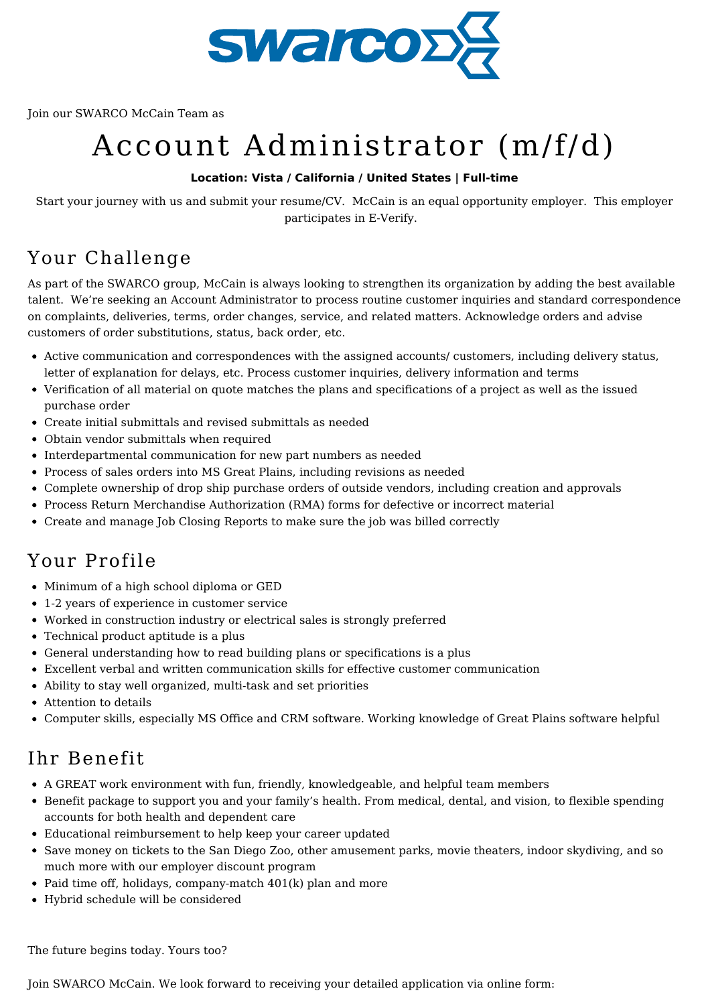

Join our SWARCO McCain Team as

# Account Administrator (m/f/d)

### **Location: Vista / California / United States | Full-time**

Start your journey with us and submit your resume/CV. McCain is an equal opportunity employer. This employer participates in E-Verify.

## Your Challenge

As part of the SWARCO group, McCain is always looking to strengthen its organization by adding the best available talent. We're seeking an Account Administrator to process routine customer inquiries and standard correspondence on complaints, deliveries, terms, order changes, service, and related matters. Acknowledge orders and advise customers of order substitutions, status, back order, etc.

- Active communication and correspondences with the assigned accounts/ customers, including delivery status, letter of explanation for delays, etc. Process customer inquiries, delivery information and terms
- Verification of all material on quote matches the plans and specifications of a project as well as the issued purchase order
- Create initial submittals and revised submittals as needed
- Obtain vendor submittals when required
- Interdepartmental communication for new part numbers as needed
- Process of sales orders into MS Great Plains, including revisions as needed
- Complete ownership of drop ship purchase orders of outside vendors, including creation and approvals
- Process Return Merchandise Authorization (RMA) forms for defective or incorrect material
- Create and manage Job Closing Reports to make sure the job was billed correctly

# Your Profile

- Minimum of a high school diploma or GED
- 1-2 years of experience in customer service
- Worked in construction industry or electrical sales is strongly preferred
- Technical product aptitude is a plus
- General understanding how to read building plans or specifications is a plus
- Excellent verbal and written communication skills for effective customer communication
- Ability to stay well organized, multi-task and set priorities
- Attention to details
- Computer skills, especially MS Office and CRM software. Working knowledge of Great Plains software helpful

### Ihr Benefit

- A GREAT work environment with fun, friendly, knowledgeable, and helpful team members
- Benefit package to support you and your family's health. From medical, dental, and vision, to flexible spending accounts for both health and dependent care
- Educational reimbursement to help keep your career updated
- Save money on tickets to the San Diego Zoo, other amusement parks, movie theaters, indoor skydiving, and so much more with our employer discount program
- Paid time off, holidays, company-match 401(k) plan and more
- Hybrid schedule will be considered

The future begins today. Yours too?

Join SWARCO McCain. We look forward to receiving your detailed application via online form: